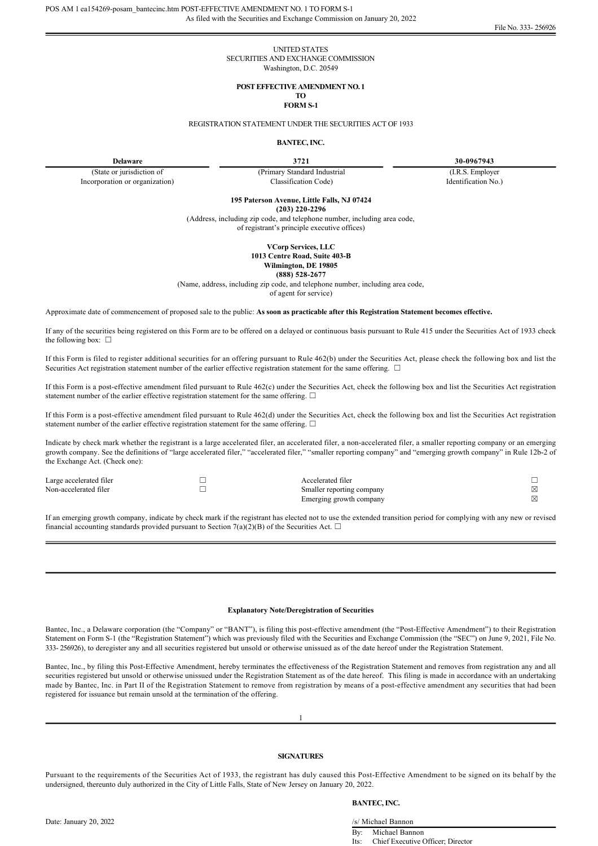## UNITED STATES SECURITIES AND EXCHANGE COMMISSION Washington, D.C. 20549

# **POST EFFECTIVE AMENDMENT NO. 1**

#### **TO FORM S-1**

REGISTRATION STATEMENT UNDER THE SECURITIES ACT OF 1933

# **BANTEC, INC.**

(State or jurisdiction of Incorporation or organization) (Primary Standard Industrial Classification Code)

**Delaware 3721 30-0967943** 

(I.R.S. Employer Identification No.)

**195 Paterson Avenue, Little Falls, NJ 07424**

**(203) 2202296**

(Address, including zip code, and telephone number, including area code, of registrant's principle executive offices)

> **VCorp Services, LLC** 1013 Centre Road, Suite 403-B

**Wilmington, DE 19805**

**(888) 5282677**

(Name, address, including zip code, and telephone number, including area code,

of agent for service)

Approximate date of commencement of proposed sale to the public: **As soon as practicable after this Registration Statement becomes effective.**

If any of the securities being registered on this Form are to be offered on a delayed or continuous basis pursuant to Rule 415 under the Securities Act of 1933 check the following box:  $\square$ 

If this Form is filed to register additional securities for an offering pursuant to Rule 462(b) under the Securities Act, please check the following box and list the Securities Act registration statement number of the earlier effective registration statement for the same offering. □

If this Form is a posteffective amendment filed pursuant to Rule 462(c) under the Securities Act, check the following box and list the Securities Act registration statement number of the earlier effective registration statement for the same offering.  $\Box$ 

If this Form is a posteffective amendment filed pursuant to Rule 462(d) under the Securities Act, check the following box and list the Securities Act registration statement number of the earlier effective registration statement for the same offering.  $\Box$ 

Indicate by check mark whether the registrant is a large accelerated filer, an accelerated filer, a nonaccelerated filer, a smaller reporting company or an emerging growth company. See the definitions of "large accelerated filer," "accelerated filer," "smaller reporting company" and "emerging growth company" in Rule 12b-2 of the Exchange Act. (Check one):

| Large accelerated filer | Accelerated filer         |  |
|-------------------------|---------------------------|--|
| Non-accelerated filer   | Smaller reporting company |  |
|                         | Emerging growth company   |  |

If an emerging growth company, indicate by check mark if the registrant has elected not to use the extended transition period for complying with any new or revised financial accounting standards provided pursuant to Section 7(a)(2)(B) of the Securities Act.  $\Box$ 

#### **Explanatory Note/Deregistration of Securities**

Bantec, Inc., a Delaware corporation (the "Company" or "BANT"), is filing this post-effective amendment (the "Post-Effective Amendment") to their Registration Statement on Form S1 (the "Registration Statement") which was previously filed with the Securities and Exchange Commission (the "SEC") on June 9, 2021, File No. 333 256926), to deregister any and all securities registered but unsold or otherwise unissued as of the date hereof under the Registration Statement.

Bantec, Inc., by filing this Post-Effective Amendment, hereby terminates the effectiveness of the Registration Statement and removes from registration any and all securities registered but unsold or otherwise unissued under the Registration Statement as of the date hereof. This filing is made in accordance with an undertaking made by Bantec, Inc. in Part II of the Registration Statement to remove from registration by means of a posteffective amendment any securities that had been registered for issuance but remain unsold at the termination of the offering.

1

# **SIGNATURES**

Pursuant to the requirements of the Securities Act of 1933, the registrant has duly caused this Post-Effective Amendment to be signed on its behalf by the undersigned, thereunto duly authorized in the City of Little Falls, State of New Jersey on January 20, 2022.

### **BANTEC, INC.**

Date: January 20, 2022 /s/ Michael Bannon

By: Michael Bannon Its: Chief Executive Officer; Director